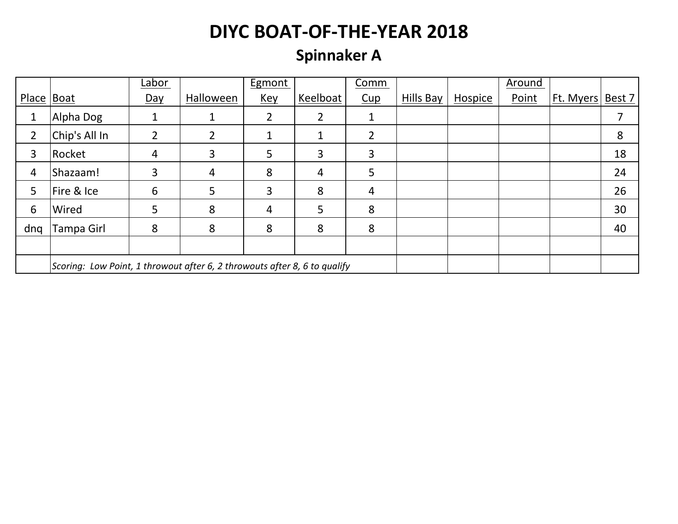# **Spinnaker A**

|            |                                                                           | Labor          |                | <b>Egmont</b>  |          | Comm           |           |         | Around |           |        |
|------------|---------------------------------------------------------------------------|----------------|----------------|----------------|----------|----------------|-----------|---------|--------|-----------|--------|
| Place Boat |                                                                           | Day            | Halloween      | <u>Key</u>     | Keelboat | Cup            | Hills Bay | Hospice | Point  | Ft. Myers | Best 7 |
| 1          | Alpha Dog                                                                 |                |                | $\overline{2}$ | 2        |                |           |         |        |           |        |
| 2          | Chip's All In                                                             | $\overline{2}$ | $\mathfrak{D}$ | 1              |          | 2              |           |         |        |           | 8      |
| 3          | Rocket                                                                    | 4              | 3              | 5              | 3        | 3              |           |         |        |           | 18     |
| 4          | Shazaam!                                                                  | 3              | 4              | 8              | 4        | 5              |           |         |        |           | 24     |
| 5          | Fire & Ice                                                                | 6              | 5              | 3              | 8        | $\overline{4}$ |           |         |        |           | 26     |
| 6          | Wired                                                                     | 5              | 8              | 4              | 5        | 8              |           |         |        |           | 30     |
| dng        | Tampa Girl                                                                | 8              | 8              | 8              | 8        | 8              |           |         |        |           | 40     |
|            |                                                                           |                |                |                |          |                |           |         |        |           |        |
|            | Scoring: Low Point, 1 throwout after 6, 2 throwouts after 8, 6 to qualify |                |                |                |          |                |           |         |        |           |        |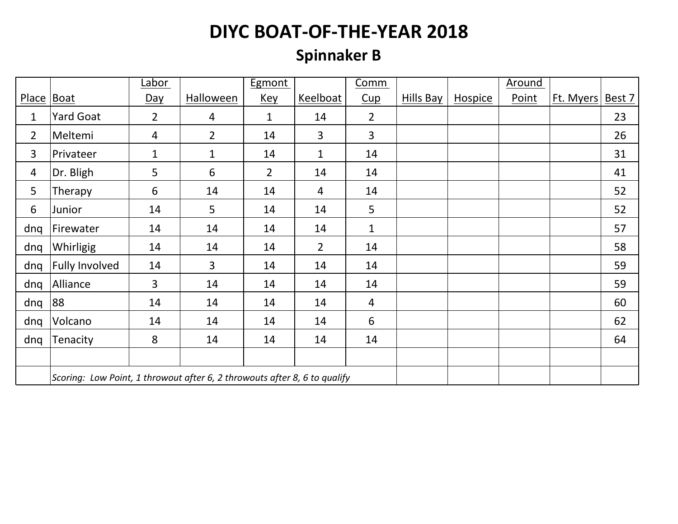# **Spinnaker B**

|                                                                           |                  | Labor          |                  | Egmont         |                | Comm           |                  |                | Around |           |        |
|---------------------------------------------------------------------------|------------------|----------------|------------------|----------------|----------------|----------------|------------------|----------------|--------|-----------|--------|
| Place                                                                     | Boat             | <u>Day</u>     | <b>Halloween</b> | <u>Key</u>     | Keelboat       | Cup            | <b>Hills Bay</b> | <b>Hospice</b> | Point  | Ft. Myers | Best 7 |
| 1                                                                         | <b>Yard Goat</b> | $\overline{2}$ | $\overline{4}$   | $\mathbf 1$    | 14             | $\overline{2}$ |                  |                |        |           | 23     |
| $\overline{2}$                                                            | Meltemi          | $\overline{4}$ | $\overline{2}$   | 14             | $\overline{3}$ | 3              |                  |                |        |           | 26     |
| 3                                                                         | Privateer        | $\mathbf{1}$   | 1                | 14             | $\mathbf{1}$   | 14             |                  |                |        |           | 31     |
| 4                                                                         | Dr. Bligh        | 5              | 6                | $\overline{2}$ | 14             | 14             |                  |                |        |           | 41     |
| 5                                                                         | Therapy          | 6              | 14               | 14             | 4              | 14             |                  |                |        |           | 52     |
| 6                                                                         | Junior           | 14             | 5                | 14             | 14             | 5              |                  |                |        |           | 52     |
| dnq                                                                       | Firewater        | 14             | 14               | 14             | 14             | $\mathbf{1}$   |                  |                |        |           | 57     |
| dnq                                                                       | Whirligig        | 14             | 14               | 14             | $\overline{2}$ | 14             |                  |                |        |           | 58     |
| dnq                                                                       | Fully Involved   | 14             | 3                | 14             | 14             | 14             |                  |                |        |           | 59     |
| dnq                                                                       | Alliance         | $\overline{3}$ | 14               | 14             | 14             | 14             |                  |                |        |           | 59     |
| dnq                                                                       | 88               | 14             | 14               | 14             | 14             | $\overline{4}$ |                  |                |        |           | 60     |
| dnq                                                                       | Volcano          | 14             | 14               | 14             | 14             | 6              |                  |                |        |           | 62     |
| dnq                                                                       | Tenacity         | 8              | 14               | 14             | 14             | 14             |                  |                |        |           | 64     |
|                                                                           |                  |                |                  |                |                |                |                  |                |        |           |        |
| Scoring: Low Point, 1 throwout after 6, 2 throwouts after 8, 6 to qualify |                  |                |                  |                |                |                |                  |                |        |           |        |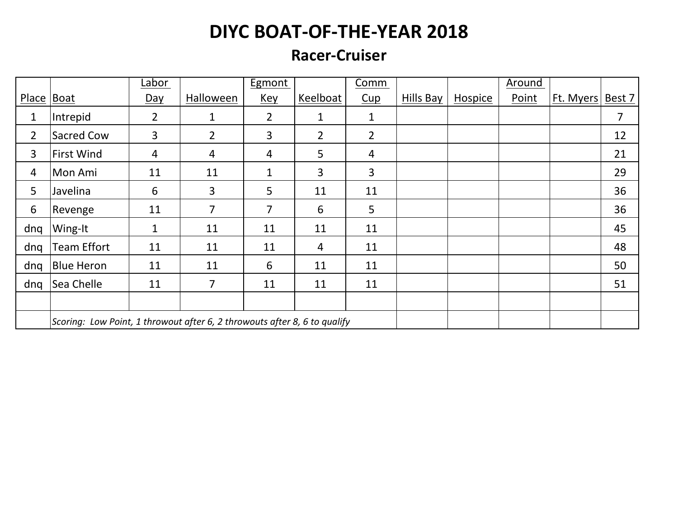#### **Racer-Cruiser**

|                |                                                                           | Labor          |                | Egmont         |                | Comm           |                  |                | Around |           |        |
|----------------|---------------------------------------------------------------------------|----------------|----------------|----------------|----------------|----------------|------------------|----------------|--------|-----------|--------|
| Place Boat     |                                                                           | Day            | Halloween      | <u>Key</u>     | Keelboat       | Cup            | <b>Hills Bay</b> | <b>Hospice</b> | Point  | Ft. Myers | Best 7 |
| 1              | Intrepid                                                                  | $\overline{2}$ | 1              | $\overline{2}$ | $\mathbf{1}$   | $\mathbf{1}$   |                  |                |        |           | 7      |
| $\overline{2}$ | <b>Sacred Cow</b>                                                         | 3              | $\overline{2}$ | 3              | $\overline{2}$ | $\overline{2}$ |                  |                |        |           | 12     |
| 3              | <b>First Wind</b>                                                         | $\overline{4}$ | 4              | 4              | 5              | $\overline{4}$ |                  |                |        |           | 21     |
| 4              | Mon Ami                                                                   | 11             | 11             | $\mathbf 1$    | 3              | 3              |                  |                |        |           | 29     |
| 5              | Javelina                                                                  | 6              | 3              | 5              | 11             | 11             |                  |                |        |           | 36     |
| 6              | Revenge                                                                   | 11             | 7              | 7              | 6              | 5              |                  |                |        |           | 36     |
| dng            | Wing-It                                                                   | $\mathbf{1}$   | 11             | 11             | 11             | 11             |                  |                |        |           | 45     |
| dng            | <b>Team Effort</b>                                                        | 11             | 11             | 11             | 4              | 11             |                  |                |        |           | 48     |
| dnq            | <b>Blue Heron</b>                                                         | 11             | 11             | 6              | 11             | 11             |                  |                |        |           | 50     |
| dnq            | Sea Chelle                                                                | 11             | 7              | 11             | 11             | 11             |                  |                |        |           | 51     |
|                |                                                                           |                |                |                |                |                |                  |                |        |           |        |
|                | Scoring: Low Point, 1 throwout after 6, 2 throwouts after 8, 6 to qualify |                |                |                |                |                |                  |                |        |           |        |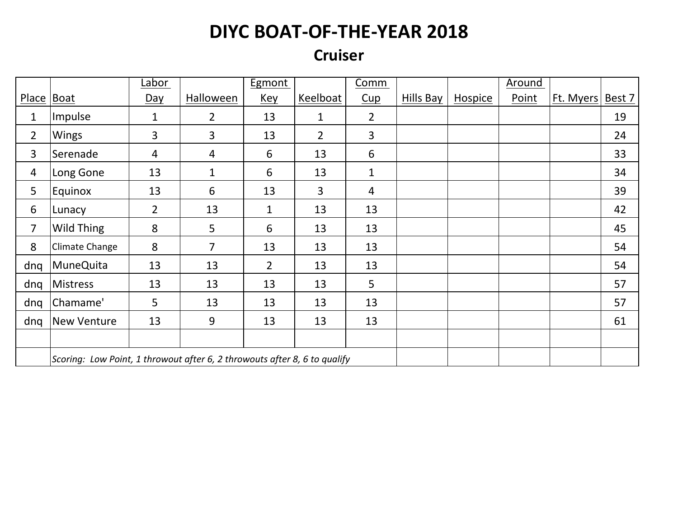#### **Cruiser**

|                |                                                                           | Labor          |                | Egmont         |                | Comm           |           |                | Around |           |        |
|----------------|---------------------------------------------------------------------------|----------------|----------------|----------------|----------------|----------------|-----------|----------------|--------|-----------|--------|
| Place   Boat   |                                                                           | <u>Day</u>     | Halloween      | <u>Key</u>     | Keelboat       | Cup            | Hills Bay | <b>Hospice</b> | Point  | Ft. Myers | Best 7 |
| $\mathbf 1$    | Impulse                                                                   | $\mathbf{1}$   | $\overline{2}$ | 13             | $\mathbf{1}$   | $\overline{2}$ |           |                |        |           | 19     |
| $\overline{2}$ | Wings                                                                     | $\overline{3}$ | 3              | 13             | $\overline{2}$ | $\overline{3}$ |           |                |        |           | 24     |
| 3              | Serenade                                                                  | $\overline{4}$ | 4              | 6              | 13             | 6              |           |                |        |           | 33     |
| 4              | Long Gone                                                                 | 13             | $\mathbf{1}$   | 6              | 13             | $\mathbf{1}$   |           |                |        |           | 34     |
| 5              | Equinox                                                                   | 13             | 6              | 13             | $\overline{3}$ | $\overline{4}$ |           |                |        |           | 39     |
| 6              | Lunacy                                                                    | $\overline{2}$ | 13             | $\mathbf{1}$   | 13             | 13             |           |                |        |           | 42     |
| $\overline{7}$ | Wild Thing                                                                | 8              | 5              | 6              | 13             | 13             |           |                |        |           | 45     |
| 8              | Climate Change                                                            | 8              | $\overline{7}$ | 13             | 13             | 13             |           |                |        |           | 54     |
| dnq            | MuneQuita                                                                 | 13             | 13             | $\overline{2}$ | 13             | 13             |           |                |        |           | 54     |
| dnq            | Mistress                                                                  | 13             | 13             | 13             | 13             | 5              |           |                |        |           | 57     |
| dnq            | Chamame'                                                                  | 5              | 13             | 13             | 13             | 13             |           |                |        |           | 57     |
| dnq            | <b>New Venture</b>                                                        | 13             | 9              | 13             | 13             | 13             |           |                |        |           | 61     |
|                |                                                                           |                |                |                |                |                |           |                |        |           |        |
|                | Scoring: Low Point, 1 throwout after 6, 2 throwouts after 8, 6 to qualify |                |                |                |                |                |           |                |        |           |        |